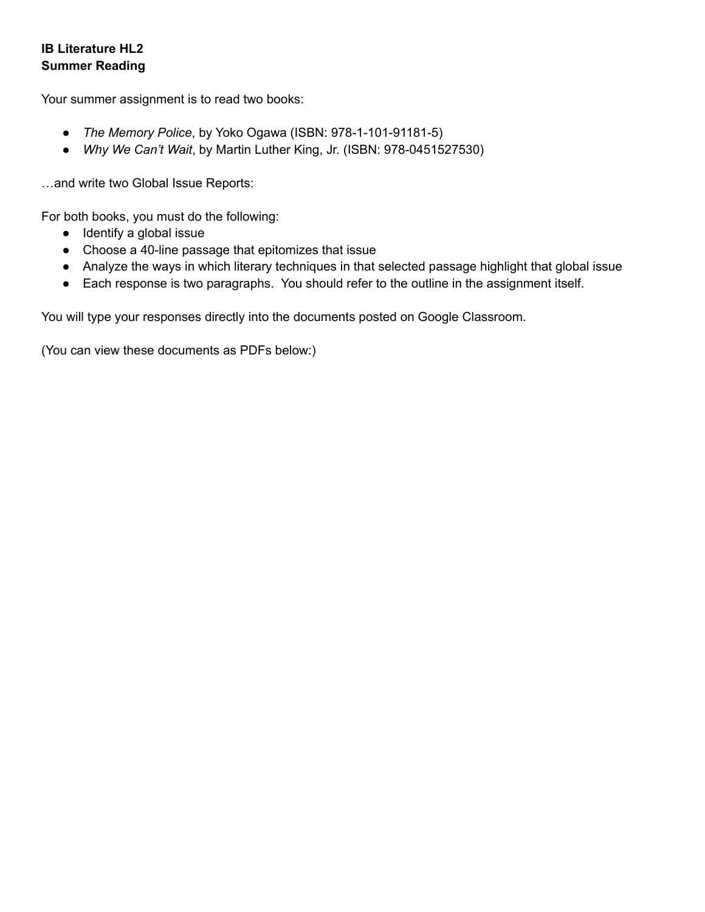## **IB Literature HL2 Summer Reading**

Your summer assignment is to read two books:

- *The Memory Police*, by Yoko Ogawa (ISBN: 978-1-101-91181-5)
- *Why We Can't Wait*, by Martin Luther King, Jr. (ISBN: 978-0451527530)

…and write two Global Issue Reports:

For both books, you must do the following:

- Identify a global issue
- Choose a 40-line passage that epitomizes that issue
- Analyze the ways in which literary techniques in that selected passage highlight that global issue
- Each response is two paragraphs. You should refer to the outline in the assignment itself.

You will type your responses directly into the documents posted on Google Classroom.

(You can view these documents as PDFs below:)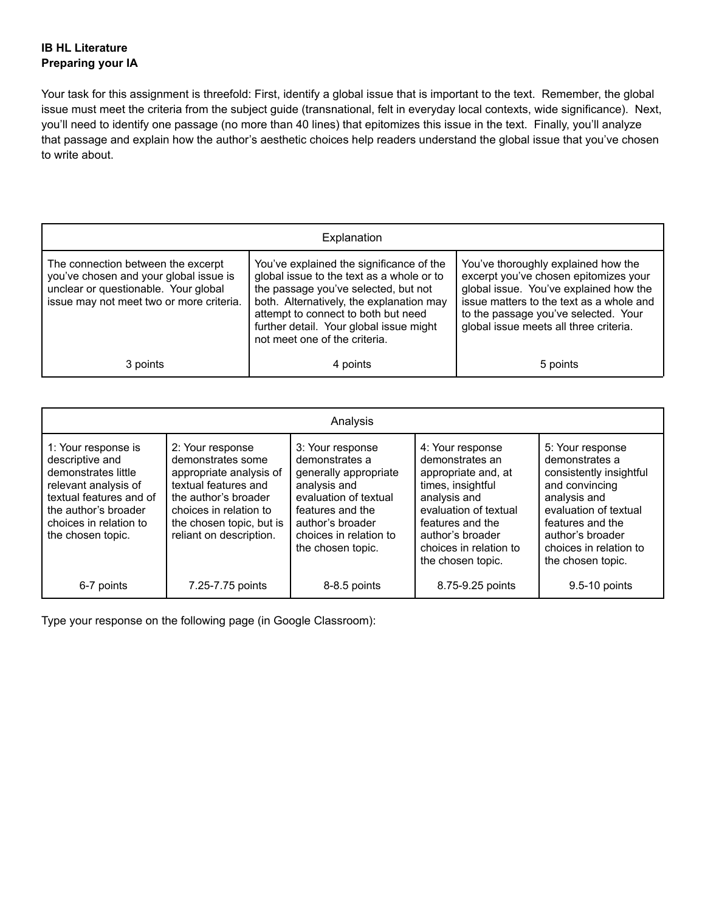## **IB HL Literature Preparing your IA**

Your task for this assignment is threefold: First, identify a global issue that is important to the text. Remember, the global issue must meet the criteria from the subject guide (transnational, felt in everyday local contexts, wide significance). Next, you'll need to identify one passage (no more than 40 lines) that epitomizes this issue in the text. Finally, you'll analyze that passage and explain how the author's aesthetic choices help readers understand the global issue that you've chosen to write about.

| Explanation                                                                                                                                                      |                                                                                                                                                                                                                                                                                              |                                                                                                                                                                                                                                                      |  |  |  |
|------------------------------------------------------------------------------------------------------------------------------------------------------------------|----------------------------------------------------------------------------------------------------------------------------------------------------------------------------------------------------------------------------------------------------------------------------------------------|------------------------------------------------------------------------------------------------------------------------------------------------------------------------------------------------------------------------------------------------------|--|--|--|
| The connection between the excerpt<br>you've chosen and your global issue is<br>unclear or questionable. Your global<br>issue may not meet two or more criteria. | You've explained the significance of the<br>global issue to the text as a whole or to<br>the passage you've selected, but not<br>both. Alternatively, the explanation may<br>attempt to connect to both but need<br>further detail. Your global issue might<br>not meet one of the criteria. | You've thoroughly explained how the<br>excerpt you've chosen epitomizes your<br>global issue. You've explained how the<br>issue matters to the text as a whole and<br>to the passage you've selected. Your<br>global issue meets all three criteria. |  |  |  |
| 3 points                                                                                                                                                         | 4 points                                                                                                                                                                                                                                                                                     | 5 points                                                                                                                                                                                                                                             |  |  |  |

| Analysis                                                                                                                                                                                |                                                                                                                                                                                                   |                                                                                                                                                                                             |                                                                                                                                                                                                                 |                                                                                                                                                                                                                 |  |
|-----------------------------------------------------------------------------------------------------------------------------------------------------------------------------------------|---------------------------------------------------------------------------------------------------------------------------------------------------------------------------------------------------|---------------------------------------------------------------------------------------------------------------------------------------------------------------------------------------------|-----------------------------------------------------------------------------------------------------------------------------------------------------------------------------------------------------------------|-----------------------------------------------------------------------------------------------------------------------------------------------------------------------------------------------------------------|--|
| 1: Your response is<br>descriptive and<br>demonstrates little<br>relevant analysis of<br>textual features and of<br>the author's broader<br>choices in relation to<br>the chosen topic. | 2: Your response<br>demonstrates some<br>appropriate analysis of<br>textual features and<br>the author's broader<br>choices in relation to<br>the chosen topic, but is<br>reliant on description. | 3: Your response<br>demonstrates a<br>generally appropriate<br>analysis and<br>evaluation of textual<br>features and the<br>author's broader<br>choices in relation to<br>the chosen topic. | 4: Your response<br>demonstrates an<br>appropriate and, at<br>times, insightful<br>analysis and<br>evaluation of textual<br>features and the<br>author's broader<br>choices in relation to<br>the chosen topic. | 5: Your response<br>demonstrates a<br>consistently insightful<br>and convincing<br>analysis and<br>evaluation of textual<br>features and the<br>author's broader<br>choices in relation to<br>the chosen topic. |  |
| 6-7 points                                                                                                                                                                              | 7.25-7.75 points                                                                                                                                                                                  | 8-8.5 points                                                                                                                                                                                | 8.75-9.25 points                                                                                                                                                                                                | 9.5-10 points                                                                                                                                                                                                   |  |

Type your response on the following page (in Google Classroom):